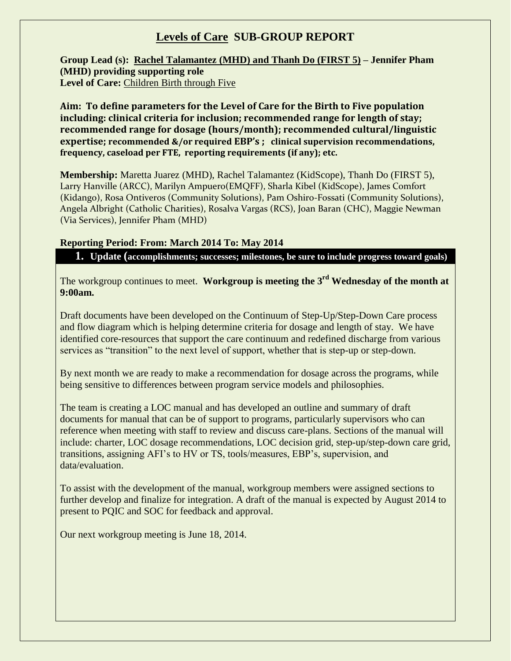## **Levels of Care SUB-GROUP REPORT**

**Group Lead (s): Rachel Talamantez (MHD) and Thanh Do (FIRST 5) – Jennifer Pham (MHD) providing supporting role Level of Care:** Children Birth through Five

**Aim: To define parameters for the Level of Care for the Birth to Five population including: clinical criteria for inclusion; recommended range for length of stay; recommended range for dosage (hours/month); recommended cultural/linguistic expertise; recommended &/or required EBP's ; clinical supervision recommendations, frequency, caseload per FTE, reporting requirements (if any); etc.** 

**Membership:** Maretta Juarez (MHD), Rachel Talamantez (KidScope), Thanh Do (FIRST 5), Larry Hanville (ARCC), Marilyn Ampuero(EMQFF), Sharla Kibel (KidScope), James Comfort (Kidango), Rosa Ontiveros (Community Solutions), Pam Oshiro-Fossati (Community Solutions), Angela Albright (Catholic Charities), Rosalva Vargas (RCS), Joan Baran (CHC), Maggie Newman (Via Services), Jennifer Pham (MHD)

## **Reporting Period: From: March 2014 To: May 2014**

**1. Update (accomplishments; successes; milestones, be sure to include progress toward goals)**

The workgroup continues to meet. **Workgroup is meeting the 3rd Wednesday of the month at 9:00am.**

Draft documents have been developed on the Continuum of Step-Up/Step-Down Care process and flow diagram which is helping determine criteria for dosage and length of stay. We have identified core-resources that support the care continuum and redefined discharge from various services as "transition" to the next level of support, whether that is step-up or step-down.

By next month we are ready to make a recommendation for dosage across the programs, while being sensitive to differences between program service models and philosophies.

The team is creating a LOC manual and has developed an outline and summary of draft documents for manual that can be of support to programs, particularly supervisors who can reference when meeting with staff to review and discuss care-plans. Sections of the manual will include: charter, LOC dosage recommendations, LOC decision grid, step-up/step-down care grid, transitions, assigning AFI's to HV or TS, tools/measures, EBP's, supervision, and data/evaluation.

To assist with the development of the manual, workgroup members were assigned sections to further develop and finalize for integration. A draft of the manual is expected by August 2014 to present to PQIC and SOC for feedback and approval.

Our next workgroup meeting is June 18, 2014.